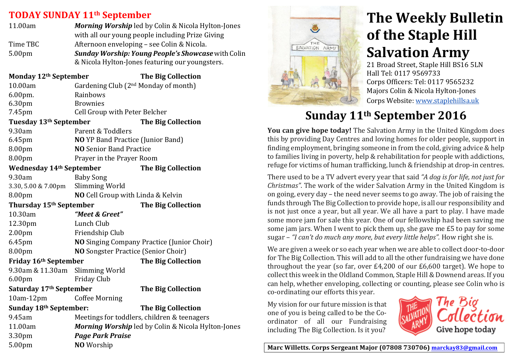## **TODAY SUNDAY&11th September**

| 11.00am            | <b>Morning Worship</b> led by Colin & Nicola Hylton-Jones                                               |  |
|--------------------|---------------------------------------------------------------------------------------------------------|--|
|                    | with all our young people including Prize Giving                                                        |  |
| Time TBC           | Afternoon enveloping – see Colin & Nicola.<br><b>Sunday Worship: Young People's Showcase</b> with Colin |  |
| 5.00 <sub>pm</sub> |                                                                                                         |  |
|                    | & Nicola Hylton-Jones featuring our youngsters.                                                         |  |
|                    |                                                                                                         |  |

| Monday 12th September             |                                                    | <b>The Big Collection</b> |
|-----------------------------------|----------------------------------------------------|---------------------------|
| 10.00am                           | Gardening Club (2 <sup>nd</sup> Monday of month)   |                           |
| 6.00pm.                           | Rainbows                                           |                           |
| 6.30pm                            | <b>Brownies</b>                                    |                           |
| 7.45pm                            | Cell Group with Peter Belcher                      |                           |
| Tuesday 13th September            |                                                    | <b>The Big Collection</b> |
| 9.30am                            | Parent & Toddlers                                  |                           |
| 6.45pm                            | <b>NO</b> YP Band Practice (Junior Band)           |                           |
| 8.00pm                            | <b>NO</b> Senior Band Practice                     |                           |
| 8.00pm                            | Prayer in the Prayer Room                          |                           |
| <b>Wednesday 14th September</b>   |                                                    | <b>The Big Collection</b> |
| 9.30am                            | <b>Baby Song</b>                                   |                           |
| 3.30, 5.00 & 7.00pm               | Slimming World                                     |                           |
| 8.00pm                            | NO Cell Group with Linda & Kelvin                  |                           |
| Thursday 15th September           |                                                    | <b>The Big Collection</b> |
| 10.30am                           | "Meet & Greet"                                     |                           |
| 12.30pm                           | Lunch Club                                         |                           |
| 2.00 <sub>pm</sub>                | Friendship Club                                    |                           |
| 6.45pm                            | <b>NO</b> Singing Company Practice (Junior Choir)  |                           |
| 8.00pm                            | <b>NO</b> Songster Practice (Senior Choir)         |                           |
| Friday 16 <sup>th</sup> September |                                                    | <b>The Big Collection</b> |
| 9.30am & 11.30am Slimming World   |                                                    |                           |
| 6.00pm                            | <b>Friday Club</b>                                 |                           |
| Saturday 17th September           |                                                    | <b>The Big Collection</b> |
| $10am-12pm$                       | <b>Coffee Morning</b>                              |                           |
| Sunday 18th September:            |                                                    | <b>The Big Collection</b> |
| 9.45am                            | Meetings for toddlers, children & teenagers        |                           |
| 11.00am                           | Morning Worship led by Colin & Nicola Hylton-Jones |                           |
| 3.30pm                            | <b>Page Park Praise</b>                            |                           |
| 5.00pm                            | NO Worship                                         |                           |



# **The Weekly Bulletin of the Staple Hill Salvation Army**

21 Broad Street, Staple Hill BS16 5LN Hall Tel: 0117 9569733 Corps Officers: Tel: 0117 9565232 Majors Colin & Nicola Hylton-Jones Corps Website: www.staplehillsa.uk

# **Sunday&11th September 2016**

**You can give hope <b>today!** The Salvation Army in the United Kingdom does this by providing Day Centres and loving homes for older people, support in finding employment, bringing someone in from the cold, giving advice  $&h$ elp to families living in poverty, help & rehabilitation for people with addictions. refuge for victims of human trafficking, lunch & friendship at drop-in centres.

There used to be a TV advert every year that said "A *dog is for life, not just for Christmas"*. The work of the wider Salvation Army in the United Kingdom is on going, every day – the need never seems to go away. The job of raising the funds through The Big Collection to provide hope, is all our responsibility and is not just once a year, but all year. We all have a part to play. I have made some more jam for sale this year. One of our fellowship had been saving me some jam jars. When I went to pick them up, she gave me £5 to pay for some sugar – "I can't do much any more, but every little helps". How right she is.

We are given a week or so each year when we are able to collect door-to-door for The Big Collection. This will add to all the other fundraising we have done throughout the year (so far, over  $£4,200$  of our  $£6,600$  target). We hope to collect this week in the Oldland Common, Staple Hill & Downend areas. If you can help, whether enveloping, collecting or counting, please see Colin who is co-ordinating our efforts this year.

My vision for our future mission is that one of you is being called to be the Coordinator of all our Fundraising including The Big Collection. Is it you?



Marc Willetts. Corps Sergeant Major (07808 730706) marckay83@gmail.com